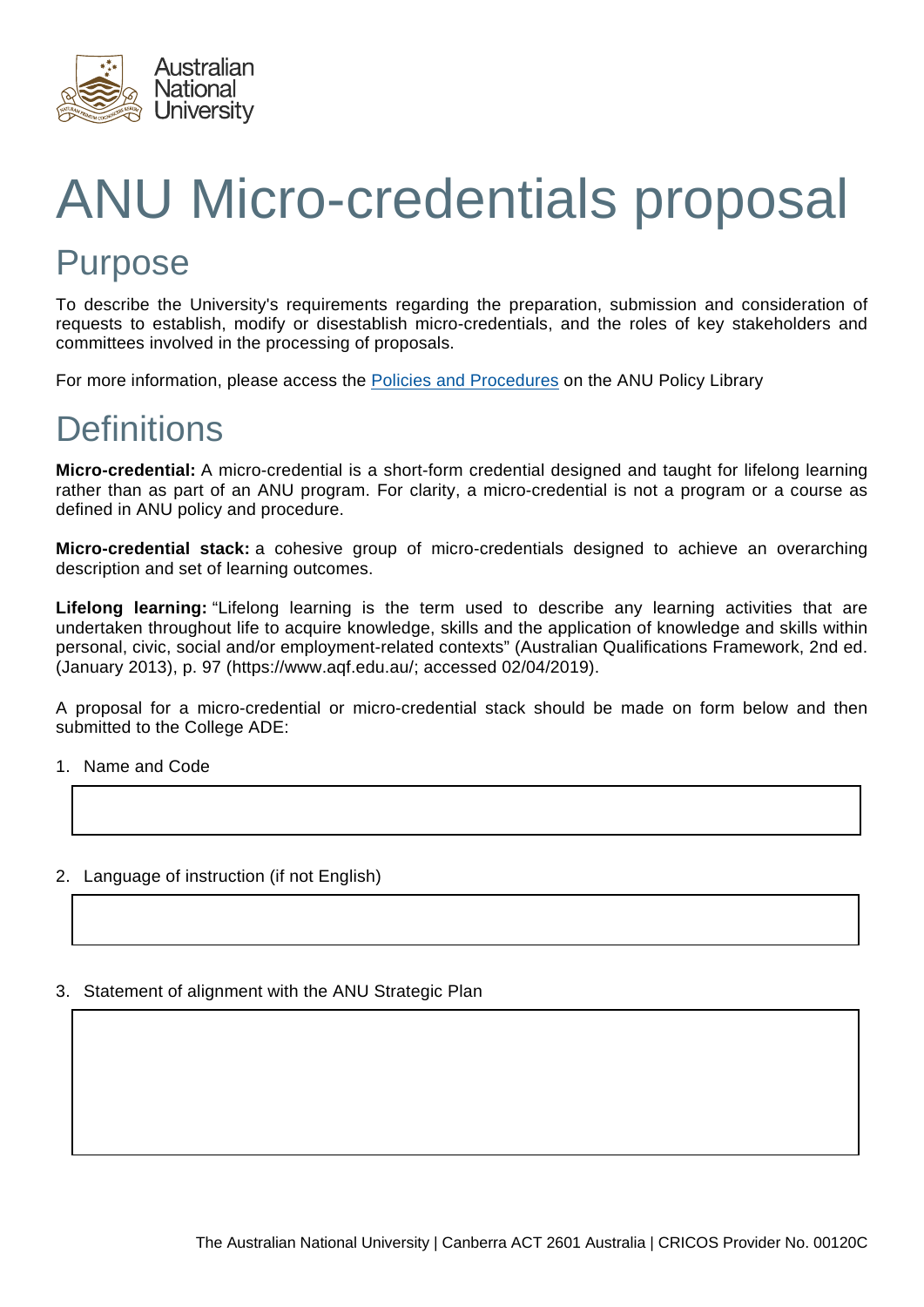

# ANU Micro-credentials proposal Purpose

To describe the University's requirements regarding the preparation, submission and consideration of requests to establish, modify or disestablish micro-credentials, and the roles of key stakeholders and committees involved in the processing of proposals.

For more information, please access the [Policies and Procedures](https://policies.anu.edu.au/ppl/document/ANUP_5972718) on the ANU Policy Library

# **Definitions**

**Micro-credential:** A micro-credential is a short-form credential designed and taught for lifelong learning rather than as part of an ANU program. For clarity, a micro-credential is not a program or a course as defined in ANU policy and procedure.

**Micro-credential stack:** a cohesive group of micro-credentials designed to achieve an overarching description and set of learning outcomes.

**Lifelong learning:** "Lifelong learning is the term used to describe any learning activities that are undertaken throughout life to acquire knowledge, skills and the application of knowledge and skills within personal, civic, social and/or employment-related contexts" (Australian Qualifications Framework, 2nd ed. (January 2013), p. 97 (https://www.aqf.edu.au/; accessed 02/04/2019).

A proposal for a micro-credential or micro-credential stack should be made on form below and then submitted to the College ADE:

1. Name and Code

## 2. Language of instruction (if not English)

3. Statement of alignment with the ANU Strategic Plan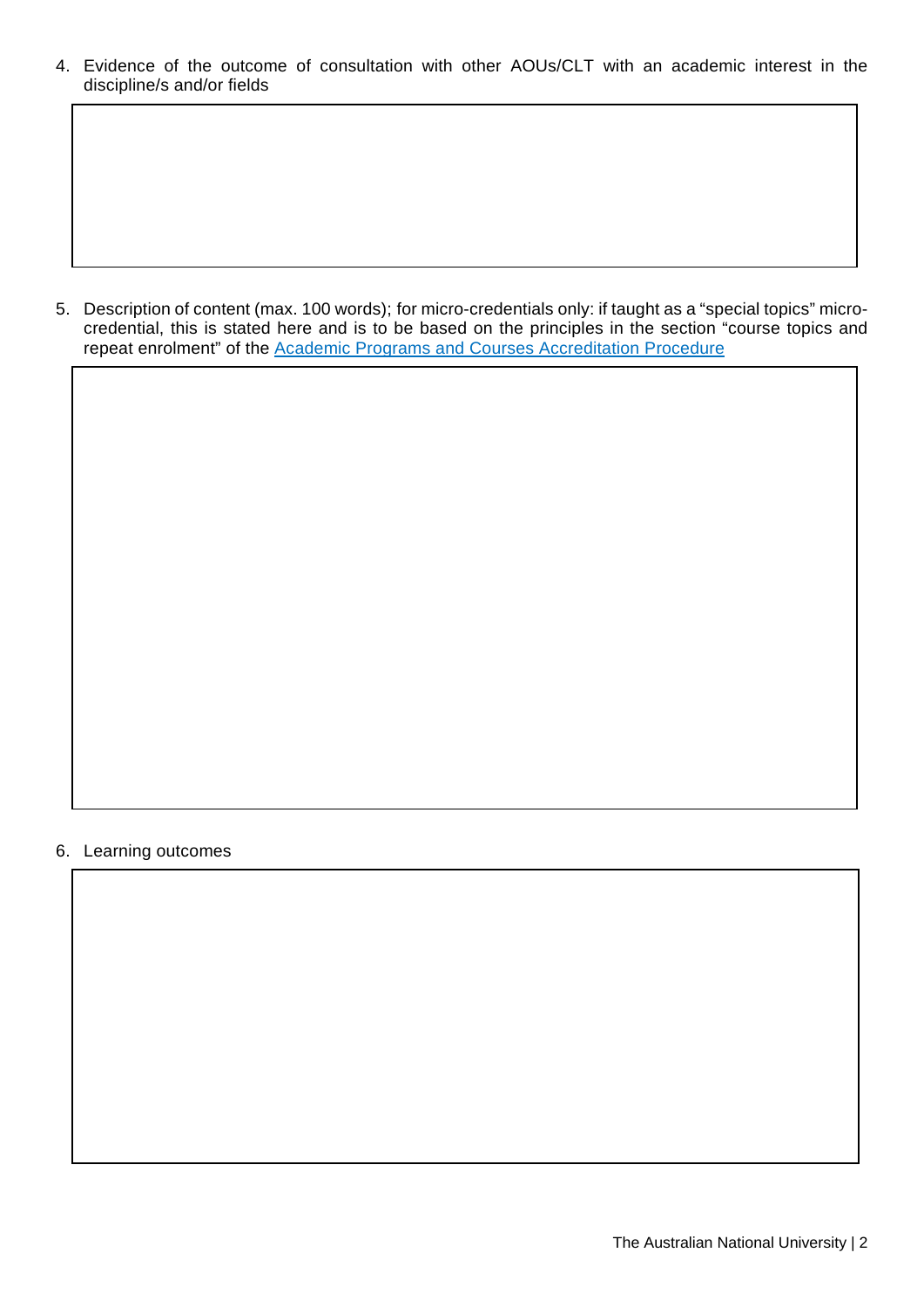4. Evidence of the outcome of consultation with other AOUs/CLT with an academic interest in the discipline/s and/or fields

5. Description of content (max. 100 words); for micro-credentials only: if taught as a "special topics" microcredential, this is stated here and is to be based on the principles in the section "course topics and repeat enrolment" of the [Academic Programs and Courses Accreditation Procedure](https://policies.anu.edu.au/ppl/document/ANUP_000691)

#### 6. Learning outcomes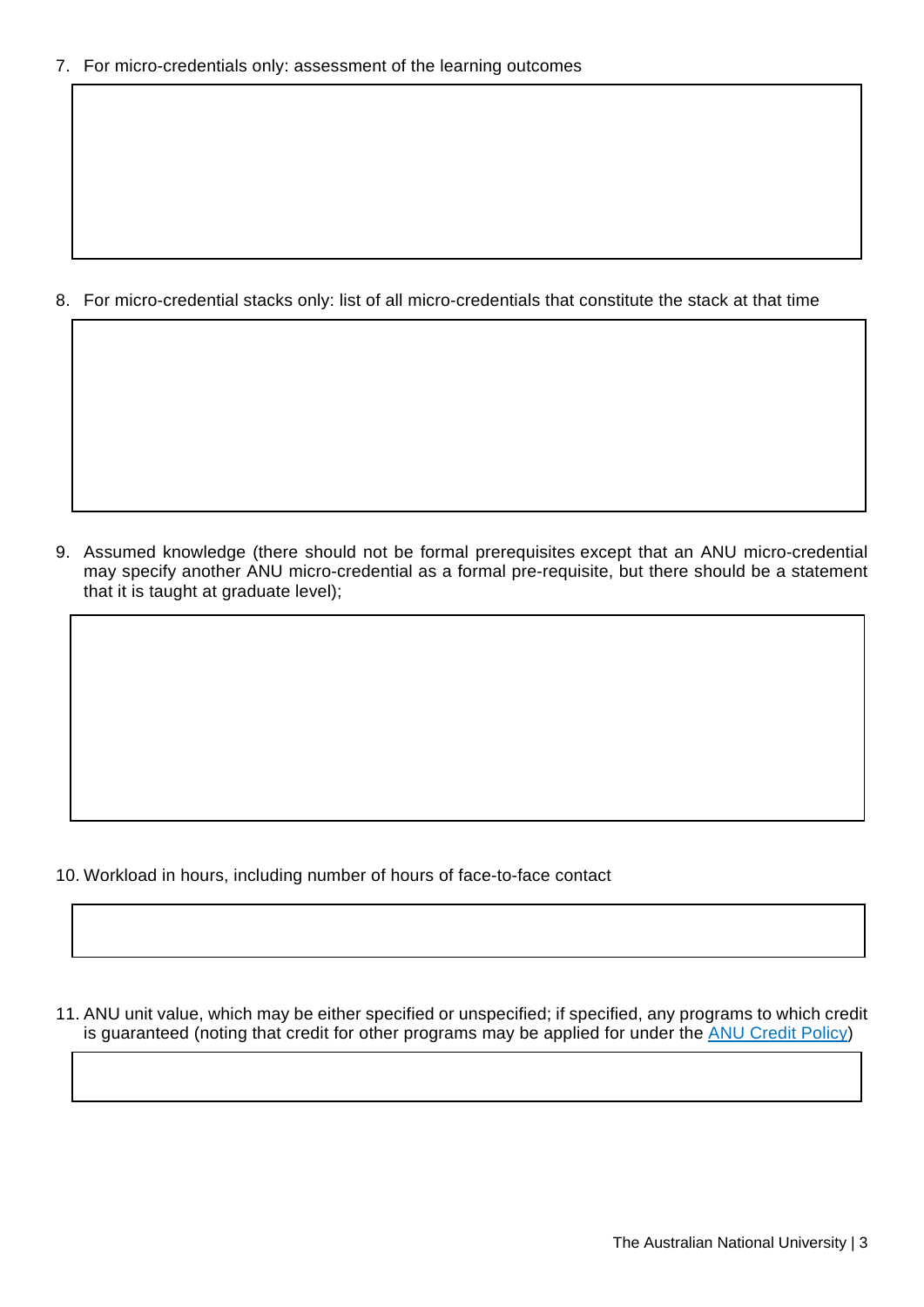8. For micro-credential stacks only: list of all micro-credentials that constitute the stack at that time

9. Assumed knowledge (there should not be formal prerequisites except that an ANU micro-credential may specify another ANU micro-credential as a formal pre-requisite, but there should be a statement that it is taught at graduate level);

10. Workload in hours, including number of hours of face-to-face contact

11. ANU unit value, which may be either specified or unspecified; if specified, any programs to which credit is guaranteed (noting that credit for other programs may be applied for under the ANU [Credit Policy\)](https://policies.anu.edu.au/ppl/document/ANUP_002612)